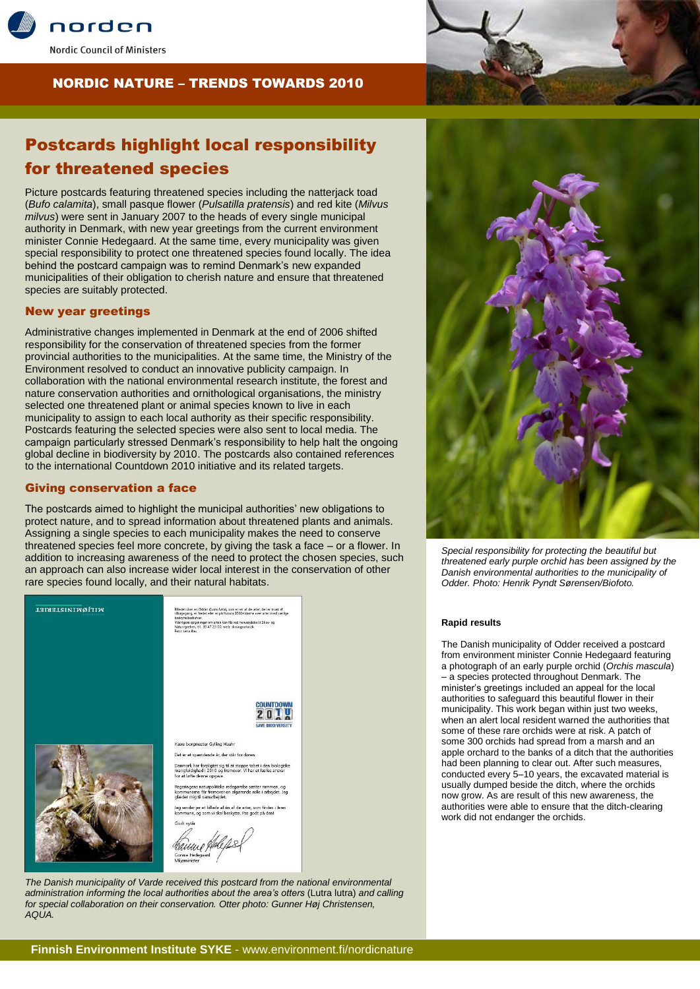

# NORDIC NATURE – TRENDS TOWARDS 2010

# Postcards highlight local responsibility for threatened species

Picture postcards featuring threatened species including the natterjack toad (*Bufo calamita*), small pasque flower (*Pulsatilla pratensis*) and red kite (*Milvus milvus*) were sent in January 2007 to the heads of every single municipal authority in Denmark, with new year greetings from the current environment minister Connie Hedegaard. At the same time, every municipality was given special responsibility to protect one threatened species found locally. The idea behind the postcard campaign was to remind Denmark's new expanded municipalities of their obligation to cherish nature and ensure that threatened species are suitably protected.

## New year greetings

Administrative changes implemented in Denmark at the end of 2006 shifted responsibility for the conservation of threatened species from the former provincial authorities to the municipalities. At the same time, the Ministry of the Environment resolved to conduct an innovative publicity campaign. In collaboration with the national environmental research institute, the forest and nature conservation authorities and ornithological organisations, the ministry selected one threatened plant or animal species known to live in each municipality to assign to each local authority as their specific responsibility. Postcards featuring the selected species were also sent to local media. The campaign particularly stressed Denmark's responsibility to help halt the ongoing global decline in biodiversity by 2010. The postcards also contained references to the international Countdown 2010 initiative and its related targets.

### Giving conservation a face

The postcards aimed to highlight the municipal authorities' new obligations to protect nature, and to spread information about threatened plants and animals. Assigning a single species to each municipality makes the need to conserve threatened species feel more concrete, by giving the task a face – or a flower. In addition to increasing awareness of the need to protect the chosen species, such an approach can also increase wider local interest in the conservation of other rare species found locally, and their natural habitats.



*The Danish municipality of Varde received this postcard from the national environmental administration informing the local authorities about the area's otters* (Lutra lutra) *and calling for special collaboration on their conservation. Otter photo: Gunner Høj Christensen, AQUA.*



*Special responsibility for protecting the beautiful but threatened early purple orchid has been assigned by the Danish environmental authorities to the municipality of Odder. Photo: Henrik Pyndt Sørensen/Biofoto.*

#### **Rapid results**

The Danish municipality of Odder received a postcard from environment minister Connie Hedegaard featuring a photograph of an early purple orchid (*Orchis mascula*) – a species protected throughout Denmark. The minister's greetings included an appeal for the local authorities to safeguard this beautiful flower in their municipality. This work began within just two weeks, when an alert local resident warned the authorities that some of these rare orchids were at risk. A patch of some 300 orchids had spread from a marsh and an apple orchard to the banks of a ditch that the authorities had been planning to clear out. After such measures, conducted every 5–10 years, the excavated material is usually dumped beside the ditch, where the orchids now grow. As are result of this new awareness, the authorities were able to ensure that the ditch-clearing work did not endanger the orchids.